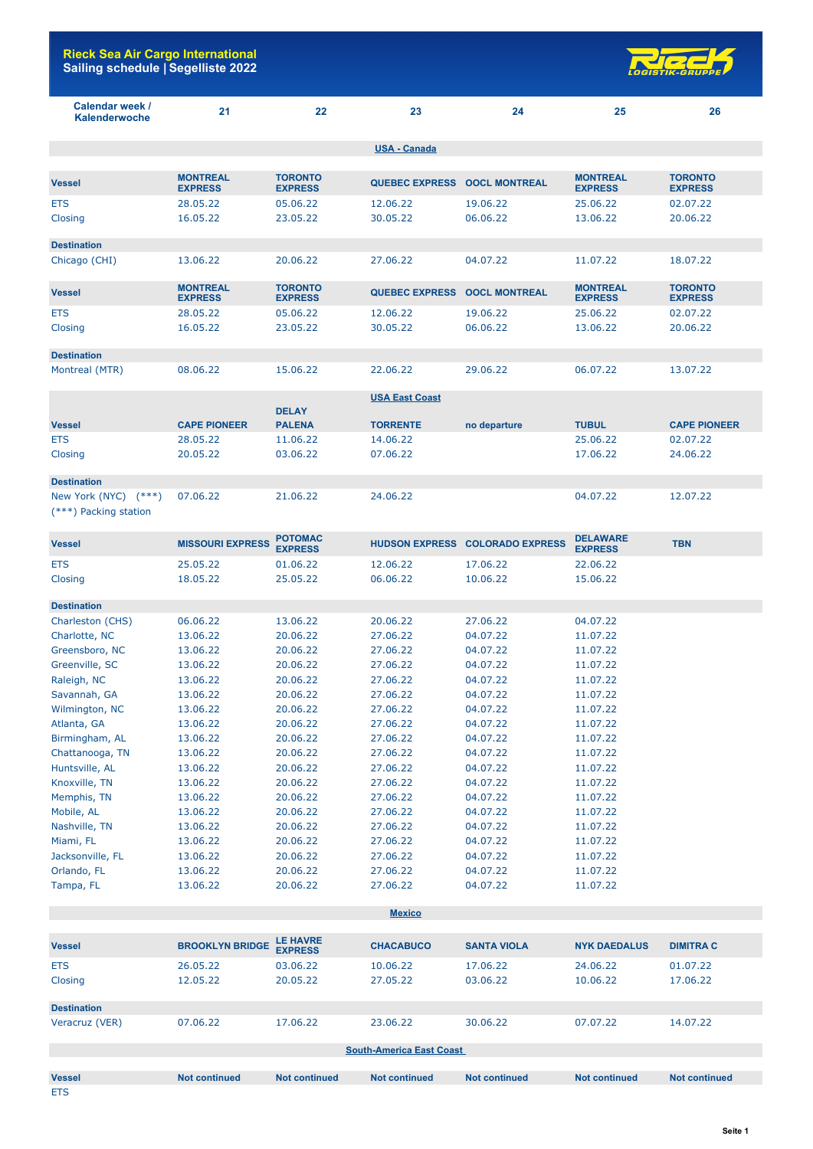

| Calendar week /<br>Kalenderwoche              | 21                                | 22                                | 23                           | 24                                     | 25                                | 26                               |
|-----------------------------------------------|-----------------------------------|-----------------------------------|------------------------------|----------------------------------------|-----------------------------------|----------------------------------|
|                                               |                                   |                                   | <b>USA - Canada</b>          |                                        |                                   |                                  |
|                                               |                                   |                                   |                              |                                        |                                   |                                  |
| <b>Vessel</b>                                 | <b>MONTREAL</b><br><b>EXPRESS</b> | <b>TORONTO</b><br><b>EXPRESS</b>  | QUEBEC EXPRESS OOCL MONTREAL |                                        | <b>MONTREAL</b><br><b>EXPRESS</b> | <b>TORONTO</b><br><b>EXPRESS</b> |
| <b>ETS</b>                                    | 28.05.22                          | 05.06.22                          | 12.06.22                     | 19.06.22                               | 25.06.22                          | 02.07.22                         |
| Closing                                       | 16.05.22                          | 23.05.22                          | 30.05.22                     | 06.06.22                               | 13.06.22                          | 20.06.22                         |
| <b>Destination</b>                            |                                   |                                   |                              |                                        |                                   |                                  |
| Chicago (CHI)                                 | 13.06.22                          | 20.06.22                          | 27.06.22                     | 04.07.22                               | 11.07.22                          | 18.07.22                         |
| <b>Vessel</b>                                 | <b>MONTREAL</b><br><b>EXPRESS</b> | <b>TORONTO</b><br><b>EXPRESS</b>  | <b>QUEBEC EXPRESS</b>        | <b>OOCL MONTREAL</b>                   | <b>MONTREAL</b><br><b>EXPRESS</b> | <b>TORONTO</b><br><b>EXPRESS</b> |
| ETS                                           | 28.05.22                          | 05.06.22                          | 12.06.22                     | 19.06.22                               | 25.06.22                          | 02.07.22                         |
| Closing                                       | 16.05.22                          | 23.05.22                          | 30.05.22                     | 06.06.22                               | 13.06.22                          | 20.06.22                         |
| <b>Destination</b>                            |                                   |                                   |                              |                                        |                                   |                                  |
| Montreal (MTR)                                | 08.06.22                          | 15.06.22                          | 22.06.22                     | 29.06.22                               | 06.07.22                          | 13.07.22                         |
|                                               |                                   |                                   | <b>USA East Coast</b>        |                                        |                                   |                                  |
|                                               |                                   | <b>DELAY</b>                      |                              |                                        |                                   |                                  |
| <b>Vessel</b>                                 | <b>CAPE PIONEER</b>               | <b>PALENA</b>                     | <b>TORRENTE</b>              | no departure                           | <b>TUBUL</b>                      | <b>CAPE PIONEER</b>              |
| <b>ETS</b>                                    | 28.05.22                          | 11.06.22                          | 14.06.22                     |                                        | 25.06.22                          | 02.07.22                         |
| Closing                                       | 20.05.22                          | 03.06.22                          | 07.06.22                     |                                        | 17.06.22                          | 24.06.22                         |
| <b>Destination</b>                            |                                   |                                   |                              |                                        |                                   |                                  |
| New York (NYC) (***)<br>(***) Packing station | 07.06.22                          | 21.06.22                          | 24.06.22                     |                                        | 04.07.22                          | 12.07.22                         |
|                                               |                                   |                                   |                              |                                        |                                   |                                  |
| <b>Vessel</b>                                 | <b>MISSOURI EXPRESS</b>           | <b>POTOMAC</b><br><b>EXPRESS</b>  |                              | <b>HUDSON EXPRESS COLORADO EXPRESS</b> | <b>DELAWARE</b><br><b>EXPRESS</b> | <b>TBN</b>                       |
| <b>ETS</b>                                    | 25.05.22                          | 01.06.22                          | 12.06.22                     | 17.06.22                               | 22.06.22                          |                                  |
| Closing                                       | 18.05.22                          | 25.05.22                          | 06.06.22                     | 10.06.22                               | 15.06.22                          |                                  |
|                                               |                                   |                                   |                              |                                        |                                   |                                  |
| <b>Destination</b>                            |                                   |                                   |                              |                                        |                                   |                                  |
| Charleston (CHS)                              | 06.06.22                          | 13.06.22                          | 20.06.22                     | 27.06.22                               | 04.07.22                          |                                  |
| Charlotte, NC                                 | 13.06.22                          | 20.06.22                          | 27.06.22<br>27,06.22         | 04.07.22                               | 11.07.22                          |                                  |
| Greensboro, NC                                | 13.06.22                          | 20.06.22                          |                              | 04.07.22                               | 11.07.22                          |                                  |
| Greenville, SC                                | 13.06.22<br>13.06.22              | 20.06.22                          | 27.06.22                     | 04.07.22                               | 11.07.22                          |                                  |
| Raleigh, NC                                   |                                   | 20.06.22                          | 27.06.22                     | 04.07.22                               | 11.07.22                          |                                  |
| Savannah, GA                                  | 13.06.22                          | 20.06.22                          | 27.06.22                     | 04.07.22                               | 11.07.22                          |                                  |
| Wilmington, NC                                | 13.06.22                          | 20.06.22                          | 27.06.22                     | 04.07.22                               | 11.07.22                          |                                  |
| Atlanta, GA                                   | 13.06.22                          | 20.06.22                          | 27.06.22                     | 04.07.22                               | 11.07.22                          |                                  |
| Birmingham, AL                                | 13.06.22                          | 20.06.22                          | 27.06.22                     | 04.07.22                               | 11.07.22                          |                                  |
| Chattanooga, TN                               | 13.06.22                          | 20.06.22                          | 27.06.22                     | 04.07.22                               | 11.07.22                          |                                  |
| Huntsville, AL                                | 13.06.22                          | 20.06.22                          | 27.06.22                     | 04.07.22                               | 11.07.22                          |                                  |
| Knoxville, TN                                 | 13.06.22                          | 20.06.22                          | 27.06.22                     | 04.07.22                               | 11.07.22                          |                                  |
| Memphis, TN                                   | 13.06.22                          | 20.06.22                          | 27.06.22                     | 04.07.22                               | 11.07.22                          |                                  |
| Mobile, AL                                    | 13.06.22                          | 20.06.22                          | 27.06.22                     | 04.07.22                               | 11.07.22                          |                                  |
| Nashville, TN                                 | 13.06.22                          | 20.06.22                          | 27.06.22                     | 04.07.22                               | 11.07.22                          |                                  |
| Miami, FL                                     | 13.06.22                          | 20.06.22                          | 27.06.22                     | 04.07.22                               | 11.07.22                          |                                  |
| Jacksonville, FL                              | 13.06.22                          | 20.06.22                          | 27.06.22                     | 04.07.22                               | 11.07.22                          |                                  |
| Orlando, FL                                   | 13.06.22                          | 20.06.22                          | 27.06.22                     | 04.07.22                               | 11.07.22                          |                                  |
| Tampa, FL                                     | 13.06.22                          | 20.06.22                          | 27.06.22                     | 04.07.22                               | 11.07.22                          |                                  |
|                                               |                                   |                                   | <b>Mexico</b>                |                                        |                                   |                                  |
| <b>Vessel</b>                                 | <b>BROOKLYN BRIDGE</b>            | <b>LE HAVRE</b><br><b>EXPRESS</b> | <b>CHACABUCO</b>             | <b>SANTA VIOLA</b>                     | <b>NYK DAEDALUS</b>               | <b>DIMITRA C</b>                 |

| <b>EIS</b>                      | 20.U <sub>2</sub> .ZZ | <b>UJ.UD.ZZ</b> | TU.UO.ZZ | 17.00.22 | 24.00.22 | <u>UI.UZ.ZZ</u> |  |  |
|---------------------------------|-----------------------|-----------------|----------|----------|----------|-----------------|--|--|
| Closing                         | 12.05.22              | 20.05.22        | 27.05.22 | 03.06.22 | 10.06.22 | 17.06.22        |  |  |
| <b>Destination</b>              |                       |                 |          |          |          |                 |  |  |
| Veracruz (VER)                  | 07.06.22              | 17.06.22        | 23,06.22 | 30.06.22 | 07.07.22 | 14.07.22        |  |  |
| <b>South-America East Coast</b> |                       |                 |          |          |          |                 |  |  |

**Vessel Not continued Not continued Not continued Not continued Not continued Not continued** ETS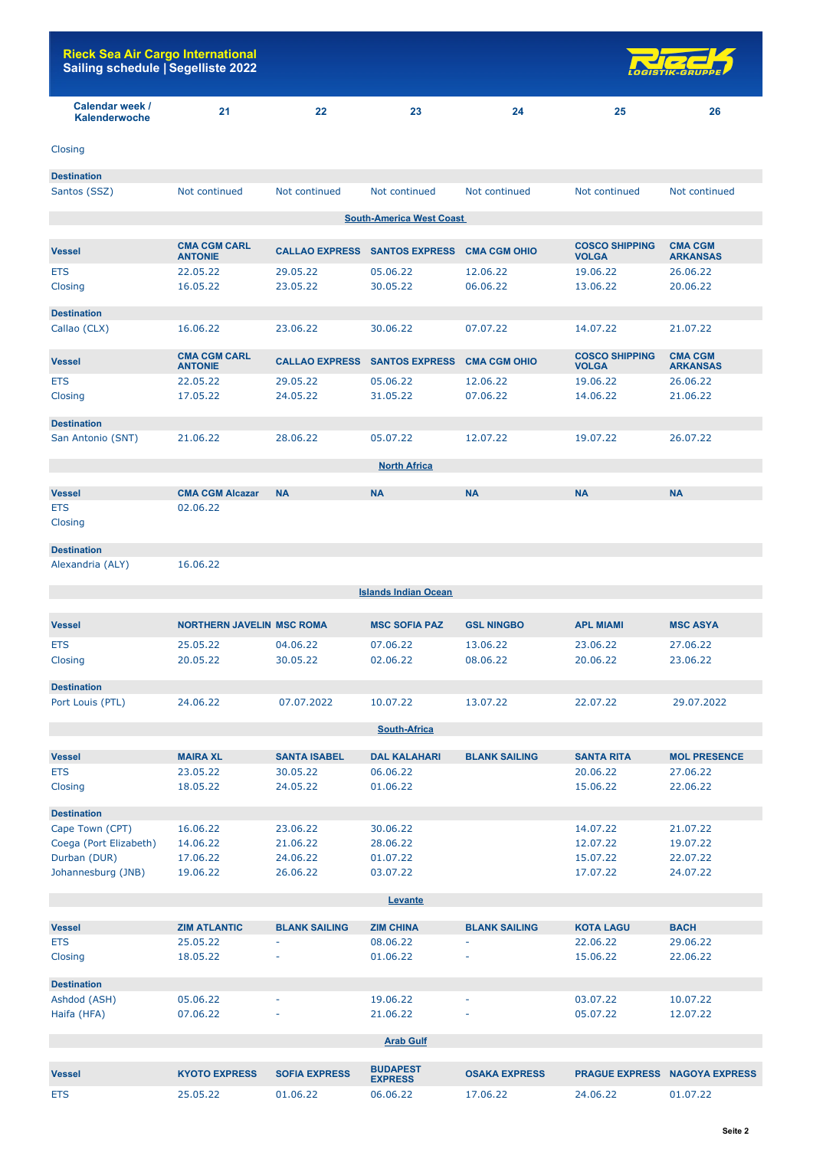| <b>Rieck Sea Air Cargo International</b><br>Sailing schedule   Segelliste 2022 |    |    |    |    |    | <b>LOGISTIK-GRUPPE</b> |
|--------------------------------------------------------------------------------|----|----|----|----|----|------------------------|
| Calendar week /<br><b>Kalenderwoche</b>                                        | 21 | 22 | 23 | 24 | 25 | 26                     |
| Closing                                                                        |    |    |    |    |    |                        |
| <b>Destination</b>                                                             |    |    |    |    |    |                        |

| Santos (SSZ)          | Not continued                         | Not continued         | Not continued                              | Not continued       | Not continued                         | Not continued                     |
|-----------------------|---------------------------------------|-----------------------|--------------------------------------------|---------------------|---------------------------------------|-----------------------------------|
|                       |                                       |                       | <b>South-America West Coast</b>            |                     |                                       |                                   |
|                       |                                       |                       |                                            |                     |                                       |                                   |
| <b>Vessel</b>         | <b>CMA CGM CARL</b><br><b>ANTONIE</b> |                       | CALLAO EXPRESS SANTOS EXPRESS CMA CGM OHIO |                     | <b>COSCO SHIPPING</b><br><b>VOLGA</b> | <b>CMA CGM</b><br><b>ARKANSAS</b> |
| <b>ETS</b>            | 22.05.22                              | 29.05.22              | 05.06.22                                   | 12.06.22            | 19.06.22                              | 26.06.22                          |
| Closing               | 16.05.22                              | 23.05.22              | 30.05.22                                   | 06.06.22            | 13.06.22                              | 20,06.22                          |
| <b>Destination</b>    |                                       |                       |                                            |                     |                                       |                                   |
| Callao (CLX)          | 16.06.22                              | 23.06.22              | 30.06.22                                   | 07.07.22            | 14.07.22                              | 21.07.22                          |
| <b>Vessel</b>         | <b>CMA CGM CARL</b><br><b>ANTONIE</b> | <b>CALLAO EXPRESS</b> | <b>SANTOS EXPRESS</b>                      | <b>CMA CGM OHIO</b> | <b>COSCO SHIPPING</b><br><b>VOLGA</b> | <b>CMA CGM</b><br><b>ARKANSAS</b> |
| <b>ETS</b>            | 22.05.22                              | 29.05.22              | 05.06.22                                   | 12.06.22            | 19.06.22                              | 26.06.22                          |
| Closing               | 17.05.22                              | 24.05.22              | 31.05.22                                   | 07.06.22            | 14.06.22                              | 21.06.22                          |
| <b>Destination</b>    |                                       |                       |                                            |                     |                                       |                                   |
| San Antonio (SNT)     | 21.06.22                              | 28,06.22              | 05.07.22                                   | 12.07.22            | 19.07.22                              | 26.07.22                          |
|                       |                                       |                       | <b>North Africa</b>                        |                     |                                       |                                   |
|                       |                                       |                       |                                            |                     |                                       |                                   |
| <b>Vessel</b>         | <b>CMA CGM Alcazar</b>                | <b>NA</b>             | <b>NA</b>                                  | <b>NA</b>           | <b>NA</b>                             | <b>NA</b>                         |
| <b>ETS</b><br>Closing | 02.06.22                              |                       |                                            |                     |                                       |                                   |
| <b>Destination</b>    |                                       |                       |                                            |                     |                                       |                                   |
| Alexandria (ALY)      | 16.06.22                              |                       |                                            |                     |                                       |                                   |
|                       |                                       |                       | <b>Islands Indian Ocean</b>                |                     |                                       |                                   |
|                       |                                       |                       |                                            |                     |                                       |                                   |
| <b>Vessel</b>         | <b>NORTHERN JAVELIN MSC ROMA</b>      |                       | <b>MSC SOFIA PAZ</b>                       | <b>GSL NINGBO</b>   | <b>APL MIAMI</b>                      | <b>MSC ASYA</b>                   |
| <b>ETS</b>            | 25.05.22                              | 04.06.22              | 07.06.22                                   | 13.06.22            | 23,06.22                              | 27,06.22                          |
| Closing               | 20.05.22                              | 30.05.22              | 02.06.22                                   | 08.06.22            | 20.06.22                              | 23.06.22                          |
| <b>Destination</b>    |                                       |                       |                                            |                     |                                       |                                   |

| Port Louis (PTL)       | 24.06.22        | 07.07.2022          | 10.07.22            | 13.07.22             | 22.07.22          | 29.07.2022          |  |  |  |
|------------------------|-----------------|---------------------|---------------------|----------------------|-------------------|---------------------|--|--|--|
|                        |                 |                     | <b>South-Africa</b> |                      |                   |                     |  |  |  |
|                        |                 |                     |                     |                      |                   |                     |  |  |  |
| <b>Vessel</b>          | <b>MAIRA XL</b> | <b>SANTA ISABEL</b> | <b>DAL KALAHARI</b> | <b>BLANK SAILING</b> | <b>SANTA RITA</b> | <b>MOL PRESENCE</b> |  |  |  |
| <b>ETS</b>             | 23,05,22        | 30.05.22            | 06.06.22            |                      | 20.06.22          | 27,06.22            |  |  |  |
| Closing                | 18.05.22        | 24.05.22            | 01.06.22            |                      | 15,06,22          | 22,06.22            |  |  |  |
| <b>Destination</b>     |                 |                     |                     |                      |                   |                     |  |  |  |
| Cape Town (CPT)        | 16.06.22        | 23,06.22            | 30.06.22            |                      | 14.07.22          | 21,07.22            |  |  |  |
| Coega (Port Elizabeth) | 14.06.22        | 21,06.22            | 28,06.22            |                      | 12.07.22          | 19.07.22            |  |  |  |
| Durban (DUR)           | 17.06.22        | 24.06.22            | 01.07.22            |                      | 15.07.22          | 22,07.22            |  |  |  |
| Johannesburg (JNB)     | 19,06.22        | 26,06.22            | 03.07.22            |                      | 17.07.22          | 24,07,22            |  |  |  |

| Levante            |                     |                      |                  |                          |                  |             |  |  |
|--------------------|---------------------|----------------------|------------------|--------------------------|------------------|-------------|--|--|
|                    |                     |                      |                  |                          |                  |             |  |  |
| <b>Vessel</b>      | <b>ZIM ATLANTIC</b> | <b>BLANK SAILING</b> | <b>ZIM CHINA</b> | <b>BLANK SAILING</b>     | <b>KOTA LAGU</b> | <b>BACH</b> |  |  |
| <b>ETS</b>         | 25,05,22            | $\sim$               | 08.06.22         | ۰                        | 22,06.22         | 29,06.22    |  |  |
| Closing            | 18.05.22            | ۰                    | 01.06.22         | ۰                        | 15,06.22         | 22.06.22    |  |  |
| <b>Destination</b> |                     |                      |                  |                          |                  |             |  |  |
| Ashdod (ASH)       | 05.06.22            | $\sim$               | 19,06.22         | $\overline{\phantom{a}}$ | 03.07.22         | 10.07.22    |  |  |
| Haifa (HFA)        | 07.06.22            | ۰                    | 21.06.22         | ۰                        | 05.07.22         | 12.07.22    |  |  |
| <b>Arab Gulf</b>   |                     |                      |                  |                          |                  |             |  |  |

| <b>Vessel</b> | <b>KYOTO EXPRESS</b> | <b>SOFIA EXPRESS</b> | <b>BUDAPEST</b><br><b>EXPRESS</b> | <b>OSAKA EXPRESS</b> |          | <b>PRAGUE EXPRESS NAGOYA EXPRESS</b> |
|---------------|----------------------|----------------------|-----------------------------------|----------------------|----------|--------------------------------------|
| <b>ETS</b>    | 25.05.22             | 01.06.22             | 06.06.22                          | 7.06.22              | 24.06.22 | 01.07.22                             |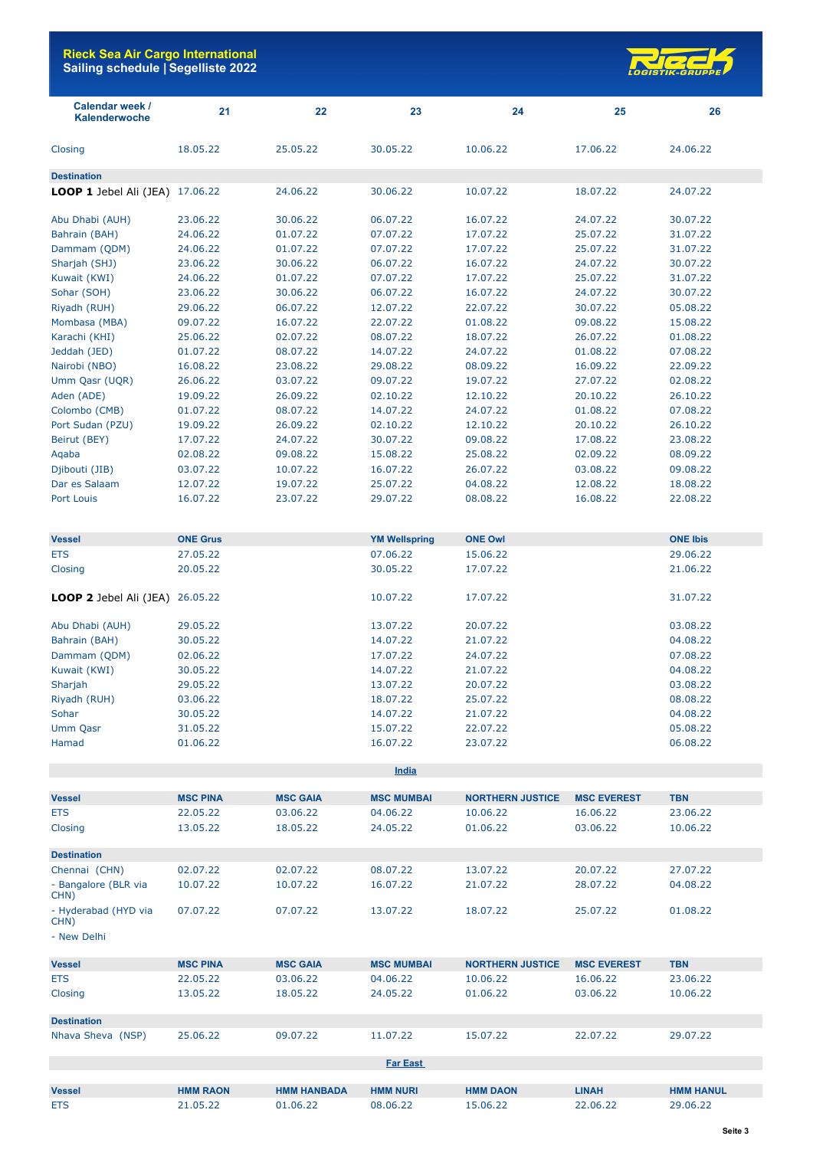

| <b>Calendar week /</b><br>Kalenderwoche | 21                   | 22                   | 23                   | 24                      | 25                   | 26                   |
|-----------------------------------------|----------------------|----------------------|----------------------|-------------------------|----------------------|----------------------|
| Closing                                 | 18.05.22             | 25.05.22             | 30.05.22             | 10.06.22                | 17.06.22             | 24.06.22             |
| <b>Destination</b>                      |                      |                      |                      |                         |                      |                      |
| LOOP 1 Jebel Ali (JEA) 17.06.22         |                      | 24.06.22             | 30.06.22             | 10.07.22                | 18.07.22             | 24.07.22             |
| Abu Dhabi (AUH)                         | 23.06.22             | 30.06.22             | 06.07.22             | 16.07.22                | 24.07.22             | 30.07.22             |
| Bahrain (BAH)                           | 24.06.22             | 01.07.22             | 07.07.22             | 17.07.22                | 25.07.22             | 31.07.22             |
| Dammam (QDM)                            | 24.06.22             | 01.07.22             | 07.07.22             | 17.07.22                | 25.07.22             | 31.07.22             |
| Sharjah (SHJ)                           | 23.06.22             | 30.06.22             | 06.07.22             | 16.07.22                | 24.07.22             | 30.07.22             |
| Kuwait (KWI)                            | 24.06.22             | 01.07.22             | 07.07.22             | 17.07.22                | 25.07.22             | 31.07.22             |
| Sohar (SOH)                             | 23.06.22             | 30.06.22             | 06.07.22             | 16.07.22                | 24.07.22             | 30.07.22             |
| Riyadh (RUH)                            | 29.06.22             | 06.07.22             | 12.07.22             | 22.07.22                | 30.07.22             | 05.08.22             |
| Mombasa (MBA)                           | 09.07.22             | 16.07.22             | 22.07.22             | 01.08.22                | 09.08.22             | 15.08.22             |
| Karachi (KHI)                           | 25.06.22             | 02.07.22             | 08.07.22             | 18.07.22                | 26.07.22             | 01.08.22             |
| Jeddah (JED)                            | 01.07.22             | 08.07.22             | 14.07.22             | 24.07.22                | 01.08.22             | 07.08.22             |
| Nairobi (NBO)                           | 16.08.22             | 23.08.22             | 29.08.22             | 08.09.22                | 16.09.22             | 22.09.22             |
| Umm Qasr (UQR)                          | 26.06.22             | 03.07.22             | 09.07.22             | 19.07.22                | 27.07.22             | 02.08.22             |
| Aden (ADE)                              | 19.09.22             | 26.09.22             | 02.10.22             | 12.10.22                | 20.10.22             | 26.10.22             |
| Colombo (CMB)                           | 01.07.22             | 08.07.22             | 14.07.22             | 24.07.22                | 01.08.22             | 07.08.22             |
| Port Sudan (PZU)                        | 19.09.22             | 26.09.22             | 02.10.22             | 12.10.22                | 20.10.22             | 26.10.22             |
| Beirut (BEY)                            | 17.07.22             | 24.07.22             | 30.07.22             | 09.08.22                | 17.08.22             | 23.08.22             |
| Aqaba                                   | 02.08.22             | 09.08.22             | 15.08.22             | 25.08.22                | 02.09.22             | 08.09.22             |
| Djibouti (JIB)                          | 03.07.22             | 10.07.22             | 16.07.22             | 26.07.22                | 03.08.22             | 09.08.22             |
| Dar es Salaam                           | 12.07.22             | 19.07.22             | 25.07.22             | 04.08.22                | 12.08.22             | 18.08.22             |
| Port Louis                              | 16.07.22             | 23.07.22             | 29.07.22             | 08.08.22                | 16.08.22             | 22.08.22             |
|                                         |                      |                      |                      |                         |                      |                      |
| <b>Vessel</b>                           | <b>ONE Grus</b>      |                      | <b>YM Wellspring</b> | <b>ONE Owl</b>          |                      | <b>ONE Ibis</b>      |
| <b>ETS</b>                              | 27.05.22             |                      | 07.06.22             | 15.06.22                |                      | 29.06.22             |
| Closing                                 | 20.05.22             |                      | 30.05.22             | 17.07.22                |                      | 21.06.22             |
| LOOP 2 Jebel Ali (JEA) 26.05.22         |                      |                      | 10.07.22             | 17.07.22                |                      | 31.07.22             |
| Abu Dhabi (AUH)                         | 29.05.22             |                      | 13.07.22             | 20.07.22                |                      | 03.08.22             |
| Bahrain (BAH)                           | 30.05.22             |                      | 14.07.22             | 21.07.22                |                      | 04.08.22             |
| Dammam (QDM)                            | 02.06.22             |                      | 17.07.22             | 24.07.22                |                      | 07.08.22             |
| Kuwait (KWI)                            | 30.05.22             |                      | 14.07.22             | 21.07.22                |                      | 04.08.22             |
| Sharjah                                 | 29.05.22             |                      | 13.07.22             | 20.07.22                |                      | 03.08.22             |
| Riyadh (RUH)                            | 03.06.22             |                      | 18.07.22             | 25.07.22                |                      | 08.08.22             |
| Sohar                                   | 30.05.22             |                      | 14.07.22             | 21.07.22                |                      | 04.08.22             |
| <b>Umm Qasr</b>                         | 31.05.22             |                      | 15.07.22             | 22.07.22                |                      | 05.08.22             |
| Hamad                                   | 01.06.22             |                      | 16.07.22             | 23.07.22                |                      | 06.08.22             |
|                                         |                      |                      | <b>India</b>         |                         |                      |                      |
|                                         |                      |                      |                      |                         |                      |                      |
| <b>Vessel</b>                           | <b>MSC PINA</b>      | <b>MSC GAIA</b>      | <b>MSC MUMBAI</b>    | <b>NORTHERN JUSTICE</b> | <b>MSC EVEREST</b>   | <b>TBN</b>           |
| <b>ETS</b><br>Closing                   | 22.05.22<br>13.05.22 | 03.06.22<br>18.05.22 | 04.06.22<br>24.05.22 | 10.06.22<br>01.06.22    | 16.06.22<br>03.06.22 | 23.06.22<br>10.06.22 |
|                                         |                      |                      |                      |                         |                      |                      |
| <b>Destination</b>                      |                      |                      |                      |                         |                      |                      |
| Chennai (CHN)                           | 02.07.22             | 02.07.22             | 08.07.22             | 13.07.22                | 20.07.22             | 27.07.22             |
| - Bangalore (BLR via<br>CHN)            | 10.07.22             | 10.07.22             | 16.07.22             | 21.07.22                | 28.07.22             | 04.08.22             |
| - Hyderabad (HYD via<br>CHN)            | 07.07.22             | 07.07.22             | 13.07.22             | 18.07.22                | 25.07.22             | 01.08.22             |
| - New Delhi                             |                      |                      |                      |                         |                      |                      |
| <b>Vessel</b>                           | <b>MSC PINA</b>      | <b>MSC GAIA</b>      | <b>MSC MUMBAI</b>    | <b>NORTHERN JUSTICE</b> | <b>MSC EVEREST</b>   | <b>TBN</b>           |
| <b>ETS</b>                              | 22.05.22             | 03.06.22             | 04.06.22             | 10.06.22                | 16.06.22             | 23.06.22             |
| Closing                                 | 13.05.22             | 18.05.22             | 24.05.22             | 01.06.22                | 03.06.22             | 10.06.22             |
| <b>Destination</b>                      |                      |                      |                      |                         |                      |                      |
| Nhava Sheva (NSP)                       | 25.06.22             | 09.07.22             | 11.07.22             | 15.07.22                | 22.07.22             | 29.07.22             |
|                                         |                      |                      | <b>Far East</b>      |                         |                      |                      |
| Vessel                                  | <b>HMM RAON</b>      | <b>HMM HANBADA</b>   | <b>HMM NURI</b>      | <b>HMM DAON</b>         | <b>LINAH</b>         | <b>HMM HANUL</b>     |
| <b>ETS</b>                              | 21.05.22             | 01.06.22             | 08.06.22             | 15.06.22                | 22.06.22             | 29.06.22             |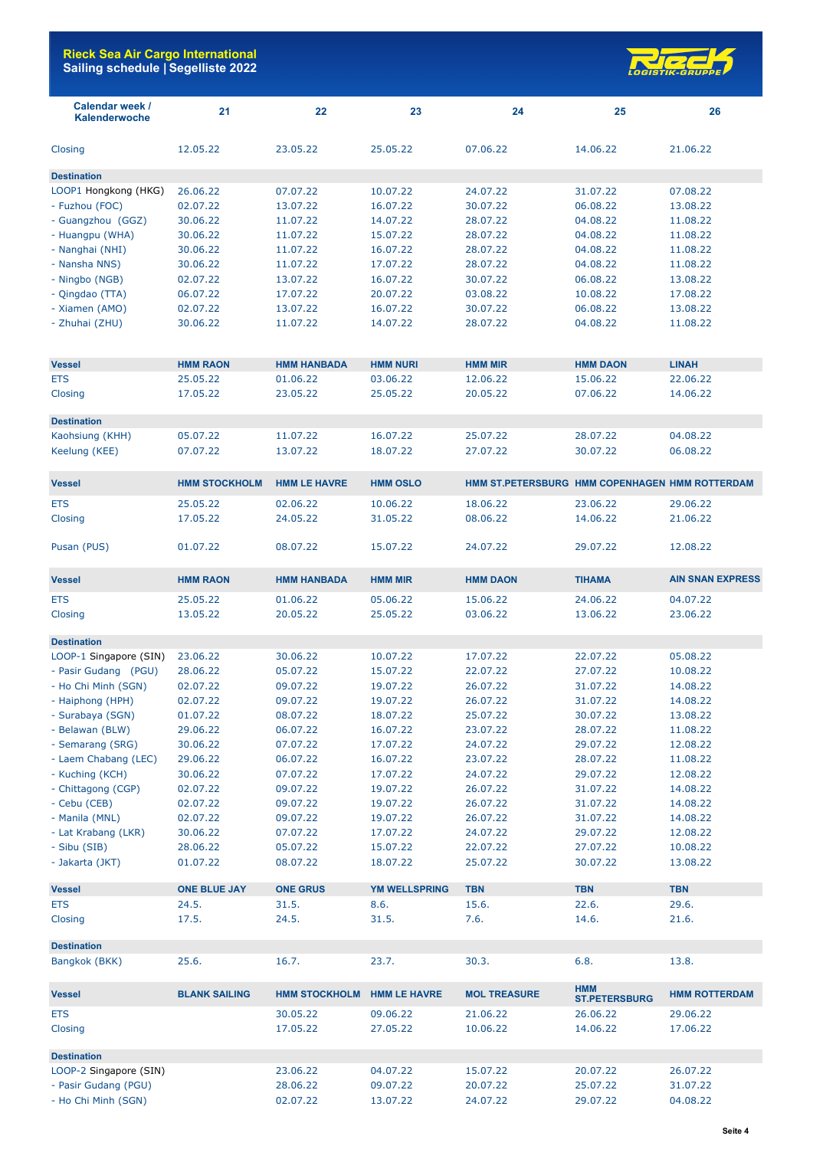

| Calendar week /<br><b>Kalenderwoche</b> | 21                   | 22                   | 23                   | 24                                             | 25                                 | 26                      |
|-----------------------------------------|----------------------|----------------------|----------------------|------------------------------------------------|------------------------------------|-------------------------|
| Closing                                 | 12.05.22             | 23.05.22             | 25.05.22             | 07.06.22                                       | 14.06.22                           | 21.06.22                |
| <b>Destination</b>                      |                      |                      |                      |                                                |                                    |                         |
| LOOP1 Hongkong (HKG)                    | 26.06.22             | 07.07.22             | 10.07.22             | 24.07.22                                       | 31.07.22                           | 07.08.22                |
| - Fuzhou (FOC)                          | 02.07.22             | 13.07.22             | 16.07.22             | 30.07.22                                       | 06.08.22                           | 13.08.22                |
| - Guangzhou (GGZ)                       | 30.06.22             | 11.07.22             | 14.07.22             | 28.07.22                                       | 04.08.22                           | 11.08.22                |
| - Huangpu (WHA)                         | 30.06.22             | 11.07.22             | 15.07.22             | 28.07.22                                       | 04.08.22                           | 11.08.22                |
| - Nanghai (NHI)                         | 30.06.22             | 11.07.22             | 16.07.22             | 28.07.22                                       | 04.08.22                           | 11.08.22                |
| - Nansha NNS)                           | 30.06.22             | 11.07.22             | 17.07.22             | 28.07.22                                       | 04.08.22                           | 11.08.22                |
|                                         |                      |                      |                      |                                                |                                    |                         |
| - Ningbo (NGB)                          | 02.07.22             | 13.07.22             | 16.07.22             | 30.07.22                                       | 06.08.22                           | 13.08.22                |
| - Qingdao (TTA)                         | 06.07.22             | 17.07.22             | 20.07.22             | 03.08.22                                       | 10.08.22                           | 17.08.22                |
| - Xiamen (AMO)                          | 02.07.22             | 13.07.22             | 16.07.22             | 30.07.22                                       | 06.08.22                           | 13.08.22                |
| - Zhuhai (ZHU)                          | 30.06.22             | 11.07.22             | 14.07.22             | 28.07.22                                       | 04.08.22                           | 11.08.22                |
| <b>Vessel</b>                           | <b>HMM RAON</b>      | <b>HMM HANBADA</b>   | <b>HMM NURI</b>      | <b>HMM MIR</b>                                 | <b>HMM DAON</b>                    | <b>LINAH</b>            |
| <b>ETS</b>                              | 25.05.22             | 01.06.22             | 03.06.22             | 12.06.22                                       | 15.06.22                           | 22.06.22                |
| Closing                                 | 17.05.22             | 23.05.22             | 25.05.22             | 20.05.22                                       | 07.06.22                           | 14.06.22                |
| <b>Destination</b>                      |                      |                      |                      |                                                |                                    |                         |
| Kaohsiung (KHH)                         | 05.07.22             | 11.07.22             | 16.07.22             | 25.07.22                                       | 28.07.22                           | 04.08.22                |
| Keelung (KEE)                           | 07.07.22             | 13.07.22             | 18.07.22             | 27.07.22                                       | 30.07.22                           | 06.08.22                |
| <b>Vessel</b>                           | <b>HMM STOCKHOLM</b> | <b>HMM LE HAVRE</b>  | <b>HMM OSLO</b>      | HMM ST.PETERSBURG HMM COPENHAGEN HMM ROTTERDAM |                                    |                         |
| <b>ETS</b>                              | 25.05.22             | 02.06.22             | 10.06.22             | 18.06.22                                       | 23.06.22                           | 29.06.22                |
| Closing                                 | 17.05.22             | 24.05.22             | 31.05.22             | 08.06.22                                       | 14.06.22                           | 21.06.22                |
| Pusan (PUS)                             | 01.07.22             | 08.07.22             | 15.07.22             | 24.07.22                                       | 29.07.22                           | 12.08.22                |
| <b>Vessel</b>                           | <b>HMM RAON</b>      | <b>HMM HANBADA</b>   | <b>HMM MIR</b>       | <b>HMM DAON</b>                                | <b>TIHAMA</b>                      | <b>AIN SNAN EXPRESS</b> |
| <b>ETS</b>                              | 25.05.22             | 01.06.22             | 05.06.22             | 15.06.22                                       | 24.06.22                           | 04.07.22                |
| Closing                                 | 13.05.22             | 20.05.22             | 25.05.22             | 03.06.22                                       | 13.06.22                           | 23.06.22                |
| <b>Destination</b>                      |                      |                      |                      |                                                |                                    |                         |
| LOOP-1 Singapore (SIN)                  | 23.06.22             | 30.06.22             | 10.07.22             | 17.07.22                                       | 22.07.22                           | 05.08.22                |
| - Pasir Gudang (PGU)                    | 28.06.22             | 05.07.22             | 15.07.22             | 22.07.22                                       | 27.07.22                           | 10.08.22                |
| - Ho Chi Minh (SGN)                     | 02.07.22             | 09.07.22             | 19.07.22             | 26.07.22                                       | 31.07.22                           | 14.08.22                |
|                                         |                      |                      |                      |                                                | 31.07.22                           | 14.08.22                |
| - Haiphong (HPH)                        | 02.07.22             | 09.07.22             | 19.07.22<br>18.07.22 | 26.07.22                                       |                                    |                         |
| - Surabaya (SGN)                        | 01.07.22             | 08.07.22             |                      | 25.07.22                                       | 30.07.22                           | 13.08.22                |
| - Belawan (BLW)                         | 29.06.22             | 06.07.22             | 16.07.22             | 23.07.22                                       | 28.07.22                           | 11.08.22                |
| - Semarang (SRG)                        | 30.06.22             | 07.07.22             | 17.07.22             | 24.07.22                                       | 29.07.22                           | 12.08.22                |
| - Laem Chabang (LEC)                    | 29.06.22             | 06.07.22             | 16.07.22             | 23.07.22                                       | 28.07.22                           | 11.08.22                |
| - Kuching (KCH)                         | 30.06.22             | 07.07.22             | 17.07.22             | 24.07.22                                       | 29.07.22                           | 12.08.22                |
| - Chittagong (CGP)                      | 02.07.22             | 09.07.22             | 19.07.22             | 26.07.22                                       | 31.07.22                           | 14.08.22                |
| - Cebu (CEB)                            | 02.07.22             | 09.07.22             | 19.07.22             | 26.07.22                                       | 31.07.22                           | 14.08.22                |
| - Manila (MNL)                          | 02.07.22             | 09.07.22             | 19.07.22             | 26.07.22                                       | 31.07.22                           | 14.08.22                |
| - Lat Krabang (LKR)                     | 30.06.22             | 07.07.22             | 17.07.22             | 24.07.22                                       | 29.07.22                           | 12.08.22                |
| - Sibu (SIB)                            | 28.06.22             | 05.07.22             | 15.07.22             | 22.07.22                                       | 27.07.22                           | 10.08.22                |
| - Jakarta (JKT)                         | 01.07.22             | 08.07.22             | 18.07.22             | 25.07.22                                       | 30.07.22                           | 13.08.22                |
| <b>Vessel</b>                           | <b>ONE BLUE JAY</b>  | <b>ONE GRUS</b>      | <b>YM WELLSPRING</b> | <b>TBN</b>                                     | <b>TBN</b>                         | <b>TBN</b>              |
| <b>ETS</b>                              | 24.5.                | 31.5.                | 8.6.                 | 15.6.                                          | 22.6.                              | 29.6.                   |
| Closing                                 | 17.5.                | 24.5.                | 31.5.                | 7.6.                                           | 14.6.                              | 21.6.                   |
| <b>Destination</b>                      |                      |                      |                      |                                                |                                    |                         |
| Bangkok (BKK)                           | 25.6.                | 16.7.                | 23.7.                | 30.3.                                          | 6.8.                               | 13.8.                   |
| <b>Vessel</b>                           | <b>BLANK SAILING</b> | <b>HMM STOCKHOLM</b> | <b>HMM LE HAVRE</b>  | <b>MOL TREASURE</b>                            | <b>HMM</b><br><b>ST.PETERSBURG</b> | <b>HMM ROTTERDAM</b>    |
| <b>ETS</b>                              |                      | 30.05.22             | 09.06.22             | 21.06.22                                       | 26.06.22                           | 29.06.22                |
| Closing                                 |                      | 17.05.22             | 27.05.22             | 10.06.22                                       | 14.06.22                           | 17.06.22                |
| <b>Destination</b>                      |                      |                      |                      |                                                |                                    |                         |
| LOOP-2 Singapore (SIN)                  |                      | 23.06.22             | 04.07.22             | 15.07.22                                       | 20.07.22                           | 26.07.22                |
| - Pasir Gudang (PGU)                    |                      | 28.06.22             | 09.07.22             | 20.07.22                                       | 25.07.22                           | 31.07.22                |
| - Ho Chi Minh (SGN)                     |                      | 02.07.22             | 13.07.22             | 24.07.22                                       | 29.07.22                           | 04.08.22                |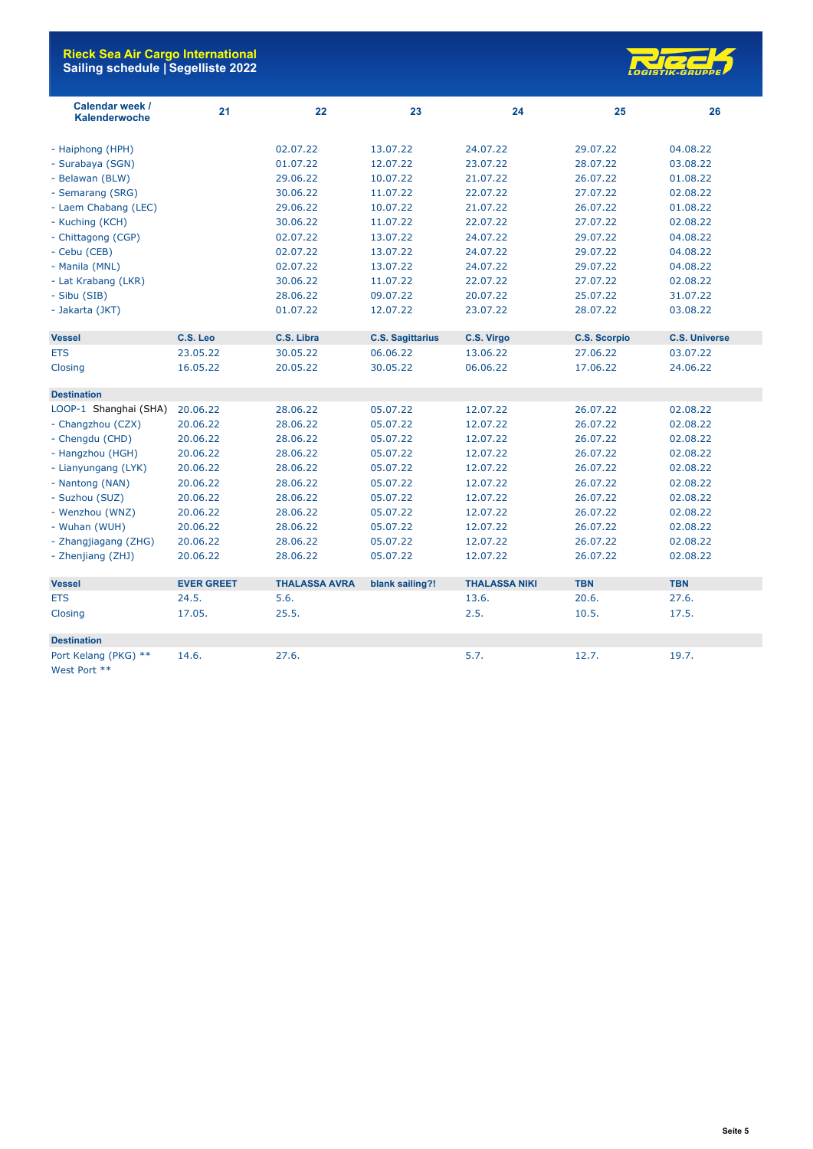

| Calendar week /<br>Kalenderwoche | 21                | 22                   | 23                      | 24                   | 25                  | 26                   |
|----------------------------------|-------------------|----------------------|-------------------------|----------------------|---------------------|----------------------|
| - Haiphong (HPH)                 |                   | 02.07.22             | 13.07.22                | 24.07.22             | 29.07.22            | 04.08.22             |
| - Surabaya (SGN)                 |                   | 01.07.22             | 12.07.22                | 23.07.22             | 28.07.22            | 03.08.22             |
| - Belawan (BLW)                  |                   | 29.06.22             | 10.07.22                | 21.07.22             | 26.07.22            | 01.08.22             |
| - Semarang (SRG)                 |                   | 30.06.22             | 11.07.22                | 22.07.22             | 27.07.22            | 02.08.22             |
| - Laem Chabang (LEC)             |                   | 29.06.22             | 10.07.22                | 21.07.22             | 26.07.22            | 01.08.22             |
| - Kuching (KCH)                  |                   | 30.06.22             | 11.07.22                | 22.07.22             | 27.07.22            | 02.08.22             |
| - Chittagong (CGP)               |                   | 02.07.22             | 13.07.22                | 24.07.22             | 29.07.22            | 04.08.22             |
| - Cebu (CEB)                     |                   | 02.07.22             | 13.07.22                | 24.07.22             | 29.07.22            | 04.08.22             |
| - Manila (MNL)                   |                   | 02.07.22             | 13.07.22                | 24.07.22             | 29.07.22            | 04.08.22             |
| - Lat Krabang (LKR)              |                   | 30.06.22             | 11.07.22                | 22.07.22             | 27.07.22            | 02.08.22             |
| - Sibu (SIB)                     |                   | 28.06.22             | 09.07.22                | 20.07.22             | 25.07.22            | 31.07.22             |
| - Jakarta (JKT)                  |                   | 01.07.22             | 12.07.22                | 23.07.22             | 28.07.22            | 03.08.22             |
| <b>Vessel</b>                    | C.S. Leo          | C.S. Libra           | <b>C.S. Sagittarius</b> | C.S. Virgo           | <b>C.S. Scorpio</b> | <b>C.S. Universe</b> |
| <b>ETS</b>                       | 23.05.22          | 30.05.22             | 06.06.22                | 13.06.22             | 27.06.22            | 03.07.22             |
| Closing                          | 16.05.22          | 20.05.22             | 30.05.22                | 06.06.22             | 17.06.22            | 24.06.22             |
| <b>Destination</b>               |                   |                      |                         |                      |                     |                      |
| LOOP-1 Shanghai (SHA)            | 20.06.22          | 28.06.22             | 05.07.22                | 12.07.22             | 26.07.22            | 02.08.22             |
| - Changzhou (CZX)                | 20.06.22          | 28.06.22             | 05.07.22                | 12.07.22             | 26.07.22            | 02.08.22             |
| - Chengdu (CHD)                  | 20.06.22          | 28.06.22             | 05.07.22                | 12.07.22             | 26.07.22            | 02.08.22             |
| - Hangzhou (HGH)                 | 20.06.22          | 28.06.22             | 05.07.22                | 12.07.22             | 26.07.22            | 02.08.22             |
| - Lianyungang (LYK)              | 20.06.22          | 28.06.22             | 05.07.22                | 12.07.22             | 26.07.22            | 02.08.22             |
| - Nantong (NAN)                  | 20.06.22          | 28.06.22             | 05.07.22                | 12.07.22             | 26.07.22            | 02.08.22             |
| - Suzhou (SUZ)                   | 20.06.22          | 28.06.22             | 05.07.22                | 12.07.22             | 26.07.22            | 02.08.22             |
| - Wenzhou (WNZ)                  | 20.06.22          | 28.06.22             | 05.07.22                | 12.07.22             | 26.07.22            | 02.08.22             |
| - Wuhan (WUH)                    | 20.06.22          | 28.06.22             | 05.07.22                | 12.07.22             | 26.07.22            | 02.08.22             |
| - Zhangjiagang (ZHG)             | 20.06.22          | 28.06.22             | 05.07.22                | 12.07.22             | 26.07.22            | 02.08.22             |
| - Zhenjiang (ZHJ)                | 20.06.22          | 28.06.22             | 05.07.22                | 12.07.22             | 26.07.22            | 02.08.22             |
| <b>Vessel</b>                    | <b>EVER GREET</b> | <b>THALASSA AVRA</b> | blank sailing?!         | <b>THALASSA NIKI</b> | <b>TBN</b>          | <b>TBN</b>           |
| <b>ETS</b>                       | 24.5.             | 5.6.                 |                         | 13.6.                | 20.6.               | 27.6.                |
| Closing                          | 17.05.            | 25.5.                |                         | 2.5.                 | 10.5.               | 17.5.                |
| <b>Destination</b>               |                   |                      |                         |                      |                     |                      |
| Port Kelang (PKG) **             | 14.6.             | 27.6.                |                         | 5.7.                 | 12.7.               | 19.7.                |
| West Port **                     |                   |                      |                         |                      |                     |                      |